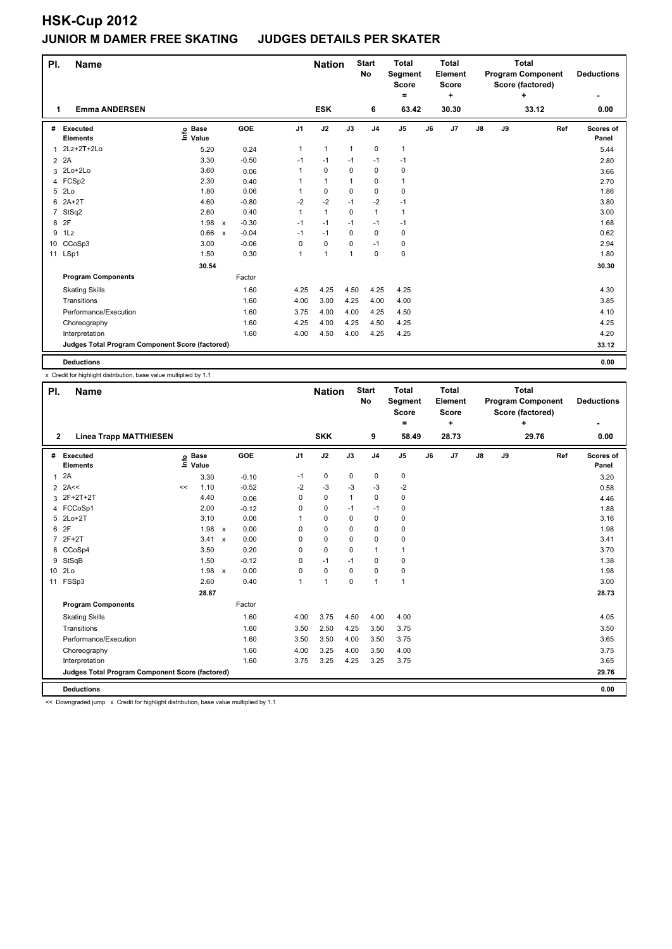| PI.            | <b>Name</b>                                     |                   |              |            |                | <b>Nation</b>  |                | <b>Start</b><br><b>No</b> | <b>Total</b><br>Segment<br><b>Score</b><br>۰ |    | <b>Total</b><br>Element<br><b>Score</b><br>٠ | <b>Total</b><br><b>Program Component</b><br>Score (factored)<br>÷ |    |       | <b>Deductions</b> |                    |
|----------------|-------------------------------------------------|-------------------|--------------|------------|----------------|----------------|----------------|---------------------------|----------------------------------------------|----|----------------------------------------------|-------------------------------------------------------------------|----|-------|-------------------|--------------------|
| 1              | <b>Emma ANDERSEN</b>                            |                   |              |            |                | <b>ESK</b>     |                | 6                         | 63.42                                        |    | 30.30                                        |                                                                   |    | 33.12 |                   | 0.00               |
| #              | Executed<br><b>Elements</b>                     | e Base<br>⊆ Value |              | <b>GOE</b> | J <sub>1</sub> | J2             | J3             | J <sub>4</sub>            | J <sub>5</sub>                               | J6 | J <sub>7</sub>                               | $\mathsf{J}8$                                                     | J9 |       | Ref               | Scores of<br>Panel |
| $\mathbf{1}$   | 2Lz+2T+2Lo                                      | 5.20              |              | 0.24       | 1              | $\mathbf{1}$   | $\mathbf{1}$   | $\mathbf 0$               | $\mathbf{1}$                                 |    |                                              |                                                                   |    |       |                   | 5.44               |
| $\overline{2}$ | 2A                                              | 3.30              |              | $-0.50$    | $-1$           | $-1$           | $-1$           | $-1$                      | $-1$                                         |    |                                              |                                                                   |    |       |                   | 2.80               |
| 3              | 2Lo+2Lo                                         | 3.60              |              | 0.06       | 1              | $\mathbf 0$    | $\mathbf 0$    | $\mathbf 0$               | 0                                            |    |                                              |                                                                   |    |       |                   | 3.66               |
| 4              | FCSp2                                           | 2.30              |              | 0.40       | 1              | $\mathbf{1}$   | 1              | 0                         | 1                                            |    |                                              |                                                                   |    |       |                   | 2.70               |
| 5              | 2Lo                                             | 1.80              |              | 0.06       | 1              | 0              | $\Omega$       | 0                         | 0                                            |    |                                              |                                                                   |    |       |                   | 1.86               |
| 6              | $2A+2T$                                         | 4.60              |              | $-0.80$    | $-2$           | $-2$           | $-1$           | $-2$                      | $-1$                                         |    |                                              |                                                                   |    |       |                   | 3.80               |
| $\overline{7}$ | StSq2                                           | 2.60              |              | 0.40       | 1              | $\mathbf{1}$   | $\Omega$       | $\mathbf{1}$              | 1                                            |    |                                              |                                                                   |    |       |                   | 3.00               |
|                | 8 2F                                            | 1.98              | $\mathsf{x}$ | $-0.30$    | $-1$           | $-1$           | $-1$           | $-1$                      | $-1$                                         |    |                                              |                                                                   |    |       |                   | 1.68               |
| 9              | 1Lz                                             | 0.66              | $\mathsf{x}$ | $-0.04$    | $-1$           | $-1$           | $\Omega$       | $\mathbf 0$               | 0                                            |    |                                              |                                                                   |    |       |                   | 0.62               |
|                | 10 CCoSp3                                       | 3.00              |              | $-0.06$    | $\Omega$       | $\mathbf 0$    | 0              | $-1$                      | 0                                            |    |                                              |                                                                   |    |       |                   | 2.94               |
|                | 11 LSp1                                         | 1.50              |              | 0.30       | $\mathbf{1}$   | $\overline{1}$ | $\overline{1}$ | $\mathbf 0$               | 0                                            |    |                                              |                                                                   |    |       |                   | 1.80               |
|                |                                                 | 30.54             |              |            |                |                |                |                           |                                              |    |                                              |                                                                   |    |       |                   | 30.30              |
|                | <b>Program Components</b>                       |                   |              | Factor     |                |                |                |                           |                                              |    |                                              |                                                                   |    |       |                   |                    |
|                | <b>Skating Skills</b>                           |                   |              | 1.60       | 4.25           | 4.25           | 4.50           | 4.25                      | 4.25                                         |    |                                              |                                                                   |    |       |                   | 4.30               |
|                | Transitions                                     |                   |              | 1.60       | 4.00           | 3.00           | 4.25           | 4.00                      | 4.00                                         |    |                                              |                                                                   |    |       |                   | 3.85               |
|                | Performance/Execution                           |                   |              | 1.60       | 3.75           | 4.00           | 4.00           | 4.25                      | 4.50                                         |    |                                              |                                                                   |    |       |                   | 4.10               |
|                | Choreography                                    |                   |              | 1.60       | 4.25           | 4.00           | 4.25           | 4.50                      | 4.25                                         |    |                                              |                                                                   |    |       |                   | 4.25               |
|                | Interpretation                                  |                   |              | 1.60       | 4.00           | 4.50           | 4.00           | 4.25                      | 4.25                                         |    |                                              |                                                                   |    |       |                   | 4.20               |
|                | Judges Total Program Component Score (factored) |                   |              |            |                |                |                |                           |                                              |    |                                              |                                                                   |    |       |                   | 33.12              |
|                | <b>Deductions</b>                               |                   |              |            |                |                |                |                           |                                              |    |                                              |                                                                   |    |       |                   | 0.00               |

x Credit for highlight distribution, base value multiplied by 1.1

| PI.            | <b>Name</b>                                     |    |                            |                           |            |                | <b>Nation</b> |             | <b>Start</b><br>No | <b>Total</b><br>Segment<br><b>Score</b> |    | <b>Total</b><br><b>Element</b><br><b>Score</b> | <b>Total</b><br><b>Program Component</b><br>Score (factored)<br>÷ |    |       |     | <b>Deductions</b>  |
|----------------|-------------------------------------------------|----|----------------------------|---------------------------|------------|----------------|---------------|-------------|--------------------|-----------------------------------------|----|------------------------------------------------|-------------------------------------------------------------------|----|-------|-----|--------------------|
|                |                                                 |    |                            |                           |            |                |               |             |                    | =                                       |    | ÷                                              |                                                                   |    |       |     | ٠                  |
| $\mathbf{2}$   | <b>Linea Trapp MATTHIESEN</b>                   |    |                            |                           |            |                | <b>SKK</b>    |             | 9                  | 58.49                                   |    | 28.73                                          |                                                                   |    | 29.76 |     | 0.00               |
| #              | Executed<br><b>Elements</b>                     |    | e Base<br>E Value<br>Value |                           | <b>GOE</b> | J <sub>1</sub> | J2            | J3          | J <sub>4</sub>     | J <sub>5</sub>                          | J6 | J7                                             | $\mathsf{J}8$                                                     | J9 |       | Ref | Scores of<br>Panel |
| $\mathbf{1}$   | 2A                                              |    | 3.30                       |                           | $-0.10$    | $-1$           | $\pmb{0}$     | 0           | $\pmb{0}$          | $\pmb{0}$                               |    |                                                |                                                                   |    |       |     | 3.20               |
|                | $2$ 2A<<                                        | << | 1.10                       |                           | $-0.52$    | $-2$           | $-3$          | -3          | -3                 | -2                                      |    |                                                |                                                                   |    |       |     | 0.58               |
| 3              | 2F+2T+2T                                        |    | 4.40                       |                           | 0.06       | 0              | $\mathbf 0$   | 1           | 0                  | 0                                       |    |                                                |                                                                   |    |       |     | 4.46               |
|                | 4 FCCoSp1                                       |    | 2.00                       |                           | $-0.12$    | 0              | $\mathbf 0$   | $-1$        | $-1$               | $\pmb{0}$                               |    |                                                |                                                                   |    |       |     | 1.88               |
| 5              | $2Lo+2T$                                        |    | 3.10                       |                           | 0.06       |                | $\mathbf 0$   | 0           | $\mathbf 0$        | $\pmb{0}$                               |    |                                                |                                                                   |    |       |     | 3.16               |
| 6              | 2F                                              |    | 1.98                       | $\boldsymbol{\mathsf{x}}$ | 0.00       | 0              | $\pmb{0}$     | 0           | 0                  | $\pmb{0}$                               |    |                                                |                                                                   |    |       |     | 1.98               |
| $\overline{7}$ | $2F+2T$                                         |    | 3.41                       | $\boldsymbol{\mathsf{x}}$ | 0.00       | $\Omega$       | $\mathbf 0$   | $\Omega$    | 0                  | 0                                       |    |                                                |                                                                   |    |       |     | 3.41               |
|                | 8 CCoSp4                                        |    | 3.50                       |                           | 0.20       | 0              | $\mathbf 0$   | 0           | $\mathbf{1}$       | $\mathbf{1}$                            |    |                                                |                                                                   |    |       |     | 3.70               |
| 9              | StSqB                                           |    | 1.50                       |                           | $-0.12$    | $\Omega$       | $-1$          | $-1$        | $\mathbf 0$        | 0                                       |    |                                                |                                                                   |    |       |     | 1.38               |
|                | 10 2Lo                                          |    | 1.98                       | $\boldsymbol{\mathsf{x}}$ | 0.00       | $\Omega$       | $\mathbf 0$   | $\Omega$    | $\mathbf 0$        | 0                                       |    |                                                |                                                                   |    |       |     | 1.98               |
| 11             | FSSp3                                           |    | 2.60                       |                           | 0.40       | 1              | $\mathbf{1}$  | $\mathbf 0$ | $\mathbf{1}$       | $\mathbf{1}$                            |    |                                                |                                                                   |    |       |     | 3.00               |
|                |                                                 |    | 28.87                      |                           |            |                |               |             |                    |                                         |    |                                                |                                                                   |    |       |     | 28.73              |
|                | <b>Program Components</b>                       |    |                            |                           | Factor     |                |               |             |                    |                                         |    |                                                |                                                                   |    |       |     |                    |
|                | <b>Skating Skills</b>                           |    |                            |                           | 1.60       | 4.00           | 3.75          | 4.50        | 4.00               | 4.00                                    |    |                                                |                                                                   |    |       |     | 4.05               |
|                | Transitions                                     |    |                            |                           | 1.60       | 3.50           | 2.50          | 4.25        | 3.50               | 3.75                                    |    |                                                |                                                                   |    |       |     | 3.50               |
|                | Performance/Execution                           |    |                            |                           | 1.60       | 3.50           | 3.50          | 4.00        | 3.50               | 3.75                                    |    |                                                |                                                                   |    |       |     | 3.65               |
|                | Choreography                                    |    |                            |                           | 1.60       | 4.00           | 3.25          | 4.00        | 3.50               | 4.00                                    |    |                                                |                                                                   |    |       |     | 3.75               |
|                | Interpretation                                  |    |                            |                           | 1.60       | 3.75           | 3.25          | 4.25        | 3.25               | 3.75                                    |    |                                                |                                                                   |    |       |     | 3.65               |
|                | Judges Total Program Component Score (factored) |    |                            |                           |            |                |               |             |                    |                                         |    |                                                |                                                                   |    |       |     | 29.76              |
|                | <b>Deductions</b>                               |    |                            |                           |            |                |               |             |                    |                                         |    |                                                |                                                                   |    |       |     | 0.00               |

<< Downgraded jump x Credit for highlight distribution, base value multiplied by 1.1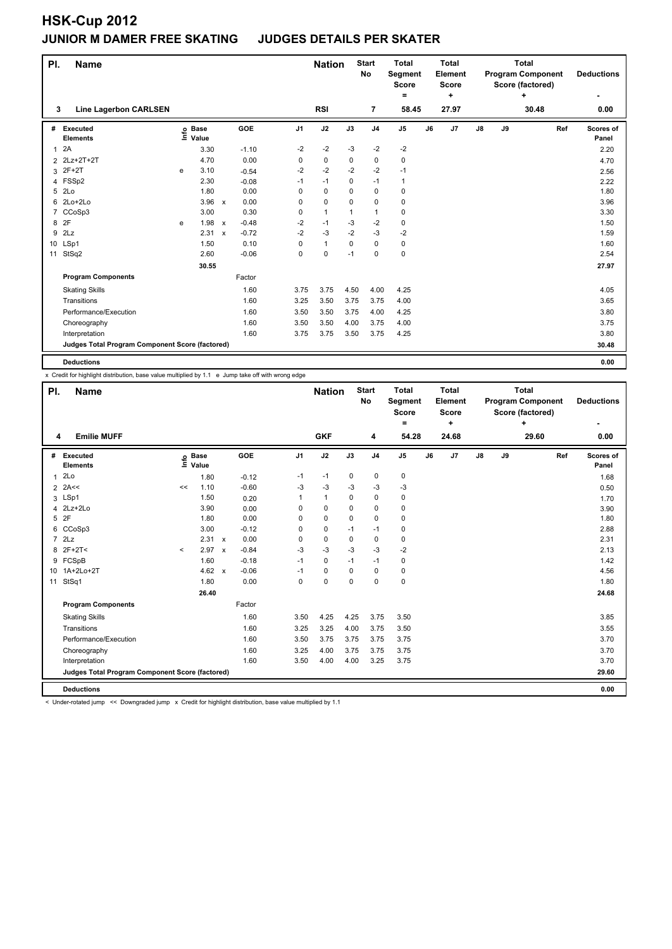| PI.          | <b>Name</b>                                     |   |                            |              |            |                | <b>Nation</b> |          | <b>Start</b><br><b>No</b> | <b>Total</b><br>Segment<br><b>Score</b><br>$=$ |    | <b>Total</b><br>Element<br><b>Score</b><br>٠ | <b>Total</b><br><b>Program Component</b><br>Score (factored)<br>÷ |    |       | <b>Deductions</b> |                    |
|--------------|-------------------------------------------------|---|----------------------------|--------------|------------|----------------|---------------|----------|---------------------------|------------------------------------------------|----|----------------------------------------------|-------------------------------------------------------------------|----|-------|-------------------|--------------------|
| 3            | <b>Line Lagerbon CARLSEN</b>                    |   |                            |              |            |                | <b>RSI</b>    |          | $\overline{7}$            | 58.45                                          |    | 27.97                                        |                                                                   |    | 30.48 |                   | 0.00               |
| #            | Executed<br><b>Elements</b>                     |   | e Base<br>⊑ Value<br>Value |              | <b>GOE</b> | J <sub>1</sub> | J2            | J3       | J <sub>4</sub>            | J <sub>5</sub>                                 | J6 | J7                                           | $\mathsf{J}8$                                                     | J9 |       | Ref               | Scores of<br>Panel |
| $\mathbf{1}$ | 2A                                              |   | 3.30                       |              | $-1.10$    | $-2$           | $-2$          | -3       | $-2$                      | $-2$                                           |    |                                              |                                                                   |    |       |                   | 2.20               |
|              | 2 2Lz+2T+2T                                     |   | 4.70                       |              | 0.00       | 0              | $\mathbf 0$   | 0        | 0                         | 0                                              |    |                                              |                                                                   |    |       |                   | 4.70               |
| 3            | $2F+2T$                                         | e | 3.10                       |              | $-0.54$    | $-2$           | $-2$          | $-2$     | $-2$                      | $-1$                                           |    |                                              |                                                                   |    |       |                   | 2.56               |
| 4            | FSSp2                                           |   | 2.30                       |              | $-0.08$    | $-1$           | $-1$          | 0        | $-1$                      | 1                                              |    |                                              |                                                                   |    |       |                   | 2.22               |
| 5            | 2Lo                                             |   | 1.80                       |              | 0.00       | $\Omega$       | $\mathbf 0$   | $\Omega$ | 0                         | 0                                              |    |                                              |                                                                   |    |       |                   | 1.80               |
| 6            | 2Lo+2Lo                                         |   | $3.96 \times$              |              | 0.00       | $\Omega$       | $\mathbf 0$   | $\Omega$ | $\Omega$                  | 0                                              |    |                                              |                                                                   |    |       |                   | 3.96               |
| 7            | CCoSp3                                          |   | 3.00                       |              | 0.30       | 0              | $\mathbf{1}$  | 1        | $\mathbf{1}$              | 0                                              |    |                                              |                                                                   |    |       |                   | 3.30               |
| 8            | 2F                                              | e | 1.98                       | $\mathbf{x}$ | $-0.48$    | $-2$           | $-1$          | $-3$     | $-2$                      | 0                                              |    |                                              |                                                                   |    |       |                   | 1.50               |
| 9            | 2Lz                                             |   | 2.31                       | $\mathbf{x}$ | $-0.72$    | $-2$           | $-3$          | $-2$     | $-3$                      | $-2$                                           |    |                                              |                                                                   |    |       |                   | 1.59               |
| 10           | LSp1                                            |   | 1.50                       |              | 0.10       | $\Omega$       | $\mathbf{1}$  | 0        | $\Omega$                  | 0                                              |    |                                              |                                                                   |    |       |                   | 1.60               |
| 11           | StSq2                                           |   | 2.60                       |              | $-0.06$    | 0              | 0             | $-1$     | 0                         | 0                                              |    |                                              |                                                                   |    |       |                   | 2.54               |
|              |                                                 |   | 30.55                      |              |            |                |               |          |                           |                                                |    |                                              |                                                                   |    |       |                   | 27.97              |
|              | <b>Program Components</b>                       |   |                            |              | Factor     |                |               |          |                           |                                                |    |                                              |                                                                   |    |       |                   |                    |
|              | <b>Skating Skills</b>                           |   |                            |              | 1.60       | 3.75           | 3.75          | 4.50     | 4.00                      | 4.25                                           |    |                                              |                                                                   |    |       |                   | 4.05               |
|              | Transitions                                     |   |                            |              | 1.60       | 3.25           | 3.50          | 3.75     | 3.75                      | 4.00                                           |    |                                              |                                                                   |    |       |                   | 3.65               |
|              | Performance/Execution                           |   |                            |              | 1.60       | 3.50           | 3.50          | 3.75     | 4.00                      | 4.25                                           |    |                                              |                                                                   |    |       |                   | 3.80               |
|              | Choreography                                    |   |                            |              | 1.60       | 3.50           | 3.50          | 4.00     | 3.75                      | 4.00                                           |    |                                              |                                                                   |    |       |                   | 3.75               |
|              | Interpretation                                  |   |                            |              | 1.60       | 3.75           | 3.75          | 3.50     | 3.75                      | 4.25                                           |    |                                              |                                                                   |    |       |                   | 3.80               |
|              | Judges Total Program Component Score (factored) |   |                            |              |            |                |               |          |                           |                                                |    |                                              |                                                                   |    |       |                   | 30.48              |
|              | <b>Deductions</b>                               |   |                            |              |            |                |               |          |                           |                                                |    |                                              |                                                                   |    |       |                   | 0.00               |

x Credit for highlight distribution, base value multiplied by 1.1 e Jump take off with wrong edge

| PI.          | <b>Name</b>                                     |         |                            |                                      |                | <b>Nation</b> |          | <b>Start</b><br>No | <b>Total</b><br>Segment<br><b>Score</b><br>۰ | <b>Total</b><br>Element<br><b>Score</b><br>÷ |       |               |    | <b>Total</b><br><b>Program Component</b><br>Score (factored)<br>÷ |     | <b>Deductions</b>  |
|--------------|-------------------------------------------------|---------|----------------------------|--------------------------------------|----------------|---------------|----------|--------------------|----------------------------------------------|----------------------------------------------|-------|---------------|----|-------------------------------------------------------------------|-----|--------------------|
| 4            | <b>Emilie MUFF</b>                              |         |                            |                                      |                | <b>GKF</b>    |          | 4                  | 54.28                                        |                                              | 24.68 |               |    | 29.60                                                             |     | 0.00               |
|              | # Executed<br><b>Elements</b>                   |         | e Base<br>E Value<br>Value | GOE                                  | J <sub>1</sub> | J2            | J3       | J <sub>4</sub>     | J5                                           | J6                                           | J7    | $\mathsf{J}8$ | J9 |                                                                   | Ref | Scores of<br>Panel |
| $\mathbf{1}$ | 2Lo                                             |         | 1.80                       | $-0.12$                              | $-1$           | $-1$          | 0        | $\mathbf 0$        | 0                                            |                                              |       |               |    |                                                                   |     | 1.68               |
|              | $2$ 2A<<                                        | <<      | 1.10                       | $-0.60$                              | $-3$           | $-3$          | -3       | $-3$               | $-3$                                         |                                              |       |               |    |                                                                   |     | 0.50               |
|              | 3 LSp1                                          |         | 1.50                       | 0.20                                 | 1              | $\mathbf{1}$  | $\Omega$ | $\mathbf 0$        | 0                                            |                                              |       |               |    |                                                                   |     | 1.70               |
|              | 4 2Lz+2Lo                                       |         | 3.90                       | 0.00                                 | $\Omega$       | 0             | $\Omega$ | 0                  | 0                                            |                                              |       |               |    |                                                                   |     | 3.90               |
|              | 5 2F                                            |         | 1.80                       | 0.00                                 | $\Omega$       | $\Omega$      | $\Omega$ | 0                  | 0                                            |                                              |       |               |    |                                                                   |     | 1.80               |
|              | 6 CCoSp3                                        |         | 3.00                       | $-0.12$                              | 0              | 0             | $-1$     | $-1$               | 0                                            |                                              |       |               |    |                                                                   |     | 2.88               |
|              | $7$ $2Lz$                                       |         | 2.31 x                     | 0.00                                 | $\Omega$       | 0             | $\Omega$ | $\mathbf 0$        | 0                                            |                                              |       |               |    |                                                                   |     | 2.31               |
|              | 8 2F+2T<                                        | $\prec$ | 2.97                       | $-0.84$<br>$\boldsymbol{\mathsf{x}}$ | $-3$           | $-3$          | -3       | $-3$               | $-2$                                         |                                              |       |               |    |                                                                   |     | 2.13               |
|              | 9 FCSpB                                         |         | 1.60                       | $-0.18$                              | $-1$           | $\Omega$      | $-1$     | $-1$               | 0                                            |                                              |       |               |    |                                                                   |     | 1.42               |
|              | 10 1A+2Lo+2T                                    |         | 4.62 $\times$              | $-0.06$                              | $-1$           | 0             | $\Omega$ | 0                  | 0                                            |                                              |       |               |    |                                                                   |     | 4.56               |
|              | 11 StSq1                                        |         | 1.80                       | 0.00                                 | 0              | 0             | $\Omega$ | 0                  | 0                                            |                                              |       |               |    |                                                                   |     | 1.80               |
|              |                                                 |         | 26.40                      |                                      |                |               |          |                    |                                              |                                              |       |               |    |                                                                   |     | 24.68              |
|              | <b>Program Components</b>                       |         |                            | Factor                               |                |               |          |                    |                                              |                                              |       |               |    |                                                                   |     |                    |
|              | <b>Skating Skills</b>                           |         |                            | 1.60                                 | 3.50           | 4.25          | 4.25     | 3.75               | 3.50                                         |                                              |       |               |    |                                                                   |     | 3.85               |
|              | Transitions                                     |         |                            | 1.60                                 | 3.25           | 3.25          | 4.00     | 3.75               | 3.50                                         |                                              |       |               |    |                                                                   |     | 3.55               |
|              | Performance/Execution                           |         |                            | 1.60                                 | 3.50           | 3.75          | 3.75     | 3.75               | 3.75                                         |                                              |       |               |    |                                                                   |     | 3.70               |
|              | Choreography                                    |         |                            | 1.60                                 | 3.25           | 4.00          | 3.75     | 3.75               | 3.75                                         |                                              |       |               |    |                                                                   |     | 3.70               |
|              | Interpretation                                  |         |                            | 1.60                                 | 3.50           | 4.00          | 4.00     | 3.25               | 3.75                                         |                                              |       |               |    |                                                                   |     | 3.70               |
|              | Judges Total Program Component Score (factored) |         |                            |                                      |                |               |          |                    |                                              |                                              |       |               |    |                                                                   |     | 29.60              |
|              | <b>Deductions</b>                               |         |                            |                                      |                |               |          |                    |                                              |                                              |       |               |    |                                                                   |     | 0.00               |

< Under-rotated jump << Downgraded jump x Credit for highlight distribution, base value multiplied by 1.1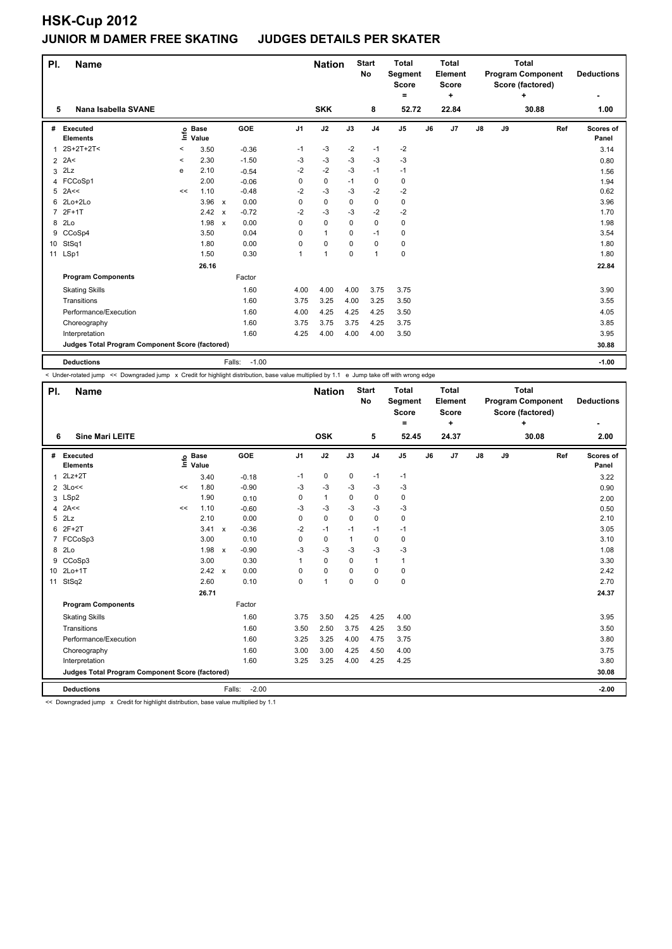| PI.            | <b>Name</b>                                     |         |                            |                                      |             | <b>Nation</b> |          | <b>Start</b><br>No | <b>Total</b><br>Segment<br><b>Score</b> | Total<br>Element<br>Score<br>٠ |       |    |    | <b>Total</b><br><b>Program Component</b><br>Score (factored)<br>٠ |     | <b>Deductions</b>  |
|----------------|-------------------------------------------------|---------|----------------------------|--------------------------------------|-------------|---------------|----------|--------------------|-----------------------------------------|--------------------------------|-------|----|----|-------------------------------------------------------------------|-----|--------------------|
| 5              | Nana Isabella SVANE                             |         |                            |                                      |             | <b>SKK</b>    |          | 8                  | $=$<br>52.72                            |                                | 22.84 |    |    | 30.88                                                             |     | 1.00               |
|                |                                                 |         |                            |                                      |             |               |          |                    |                                         |                                |       |    |    |                                                                   |     |                    |
| #              | Executed<br><b>Elements</b>                     |         | e Base<br>E Value<br>Value | GOE                                  | J1          | J2            | J3       | J <sub>4</sub>     | J <sub>5</sub>                          | J6                             | J7    | J8 | J9 |                                                                   | Ref | Scores of<br>Panel |
| 1              | $2S+2T+2T2$                                     | $\,<$   | 3.50                       | $-0.36$                              | $-1$        | $-3$          | $-2$     | $-1$               | $-2$                                    |                                |       |    |    |                                                                   |     | 3.14               |
| $\overline{2}$ | 2A<                                             | $\,<\,$ | 2.30                       | $-1.50$                              | $-3$        | $-3$          | $-3$     | $-3$               | $-3$                                    |                                |       |    |    |                                                                   |     | 0.80               |
| 3              | 2Lz                                             | e       | 2.10                       | $-0.54$                              | $-2$        | $-2$          | $-3$     | $-1$               | $-1$                                    |                                |       |    |    |                                                                   |     | 1.56               |
| 4              | FCCoSp1                                         |         | 2.00                       | $-0.06$                              | 0           | $\pmb{0}$     | $-1$     | 0                  | 0                                       |                                |       |    |    |                                                                   |     | 1.94               |
| 5              | 2A<<                                            | <<      | 1.10                       | $-0.48$                              | $-2$        | $-3$          | -3       | -2                 | -2                                      |                                |       |    |    |                                                                   |     | 0.62               |
| 6              | 2Lo+2Lo                                         |         | $3.96 \times$              | 0.00                                 | $\Omega$    | 0             | 0        | 0                  | 0                                       |                                |       |    |    |                                                                   |     | 3.96               |
| $\overline{7}$ | $2F+1T$                                         |         | 2.42                       | $-0.72$<br>$\boldsymbol{\mathsf{x}}$ | $-2$        | $-3$          | $-3$     | $-2$               | $-2$                                    |                                |       |    |    |                                                                   |     | 1.70               |
| 8              | 2Lo                                             |         | 1.98                       | 0.00<br>$\mathsf{x}$                 | 0           | $\mathbf 0$   | $\Omega$ | 0                  | 0                                       |                                |       |    |    |                                                                   |     | 1.98               |
| 9              | CCoSp4                                          |         | 3.50                       | 0.04                                 | $\Omega$    | $\mathbf{1}$  | $\Omega$ | $-1$               | 0                                       |                                |       |    |    |                                                                   |     | 3.54               |
| 10             | StSq1                                           |         | 1.80                       | 0.00                                 | $\mathbf 0$ | 0             | $\Omega$ | 0                  | 0                                       |                                |       |    |    |                                                                   |     | 1.80               |
|                | 11 LSp1                                         |         | 1.50                       | 0.30                                 |             | $\mathbf{1}$  | $\Omega$ | $\mathbf{1}$       | 0                                       |                                |       |    |    |                                                                   |     | 1.80               |
|                |                                                 |         | 26.16                      |                                      |             |               |          |                    |                                         |                                |       |    |    |                                                                   |     | 22.84              |
|                | <b>Program Components</b>                       |         |                            | Factor                               |             |               |          |                    |                                         |                                |       |    |    |                                                                   |     |                    |
|                | <b>Skating Skills</b>                           |         |                            | 1.60                                 | 4.00        | 4.00          | 4.00     | 3.75               | 3.75                                    |                                |       |    |    |                                                                   |     | 3.90               |
|                | Transitions                                     |         |                            | 1.60                                 | 3.75        | 3.25          | 4.00     | 3.25               | 3.50                                    |                                |       |    |    |                                                                   |     | 3.55               |
|                | Performance/Execution                           |         |                            | 1.60                                 | 4.00        | 4.25          | 4.25     | 4.25               | 3.50                                    |                                |       |    |    |                                                                   |     | 4.05               |
|                | Choreography                                    |         |                            | 1.60                                 | 3.75        | 3.75          | 3.75     | 4.25               | 3.75                                    |                                |       |    |    |                                                                   |     | 3.85               |
|                | Interpretation                                  |         |                            | 1.60                                 | 4.25        | 4.00          | 4.00     | 4.00               | 3.50                                    |                                |       |    |    |                                                                   |     | 3.95               |
|                | Judges Total Program Component Score (factored) |         |                            |                                      |             |               |          |                    |                                         |                                |       |    |    |                                                                   |     | 30.88              |
|                | <b>Deductions</b>                               |         |                            | $-1.00$<br>Falls:                    |             |               |          |                    |                                         |                                |       |    |    |                                                                   |     | $-1.00$            |

< Under-rotated jump << Downgraded jump x Credit for highlight distribution, base value multiplied by 1.1 e Jump take off with wrong edge

| PI. | <b>Name</b>                                     |    |                            |                                      |                | <b>Nation</b>  |      | <b>Start</b><br><b>No</b> | <b>Total</b><br>Segment<br><b>Score</b><br>$=$ | <b>Total</b><br>Element<br>Score<br>٠ |       |               |    | <b>Total</b><br><b>Program Component</b><br>Score (factored)<br>÷ |     | <b>Deductions</b>  |
|-----|-------------------------------------------------|----|----------------------------|--------------------------------------|----------------|----------------|------|---------------------------|------------------------------------------------|---------------------------------------|-------|---------------|----|-------------------------------------------------------------------|-----|--------------------|
| 6   | <b>Sine Mari LEITE</b>                          |    |                            |                                      |                | <b>OSK</b>     |      | 5                         | 52.45                                          |                                       | 24.37 |               |    | 30.08                                                             |     | 2.00               |
| #   | Executed<br><b>Elements</b>                     |    | e Base<br>E Value<br>Value | <b>GOE</b>                           | J <sub>1</sub> | J2             | J3   | J <sub>4</sub>            | J <sub>5</sub>                                 | J6                                    | J7    | $\mathsf{J}8$ | J9 |                                                                   | Ref | Scores of<br>Panel |
| 1   | $2Lz+2T$                                        |    | 3.40                       | $-0.18$                              | $-1$           | 0              | 0    | $-1$                      | $-1$                                           |                                       |       |               |    |                                                                   |     | 3.22               |
|     | $2 \t3Lo <<$                                    | << | 1.80                       | $-0.90$                              | -3             | -3             | $-3$ | $-3$                      | $-3$                                           |                                       |       |               |    |                                                                   |     | 0.90               |
|     | 3 LSp2                                          |    | 1.90                       | 0.10                                 | 0              | $\mathbf{1}$   | 0    | $\mathbf 0$               | 0                                              |                                       |       |               |    |                                                                   |     | 2.00               |
| 4   | 2A<<                                            | << | 1.10                       | $-0.60$                              | -3             | $-3$           | $-3$ | $-3$                      | $-3$                                           |                                       |       |               |    |                                                                   |     | 0.50               |
| 5   | 2Lz                                             |    | 2.10                       | 0.00                                 | 0              | 0              | 0    | 0                         | 0                                              |                                       |       |               |    |                                                                   |     | 2.10               |
| 6   | $2F+2T$                                         |    | 3.41                       | $-0.36$<br>$\mathsf{x}$              | $-2$           | $-1$           | $-1$ | $-1$                      | $-1$                                           |                                       |       |               |    |                                                                   |     | 3.05               |
|     | 7 FCCoSp3                                       |    | 3.00                       | 0.10                                 | 0              | 0              | 1    | $\mathbf 0$               | 0                                              |                                       |       |               |    |                                                                   |     | 3.10               |
| 8   | 2Lo                                             |    | 1.98                       | $-0.90$<br>$\boldsymbol{\mathsf{x}}$ | -3             | $-3$           | -3   | $-3$                      | $-3$                                           |                                       |       |               |    |                                                                   |     | 1.08               |
| 9   | CCoSp3                                          |    | 3.00                       | 0.30                                 | 1              | 0              | 0    | $\mathbf{1}$              | 1                                              |                                       |       |               |    |                                                                   |     | 3.30               |
| 10  | $2Lo+1T$                                        |    | 2.42 x                     | 0.00                                 | 0              | 0              | 0    | $\mathbf 0$               | 0                                              |                                       |       |               |    |                                                                   |     | 2.42               |
| 11  | StSq2                                           |    | 2.60                       | 0.10                                 | 0              | $\overline{1}$ | 0    | $\mathbf 0$               | 0                                              |                                       |       |               |    |                                                                   |     | 2.70               |
|     |                                                 |    | 26.71                      |                                      |                |                |      |                           |                                                |                                       |       |               |    |                                                                   |     | 24.37              |
|     | <b>Program Components</b>                       |    |                            | Factor                               |                |                |      |                           |                                                |                                       |       |               |    |                                                                   |     |                    |
|     | <b>Skating Skills</b>                           |    |                            | 1.60                                 | 3.75           | 3.50           | 4.25 | 4.25                      | 4.00                                           |                                       |       |               |    |                                                                   |     | 3.95               |
|     | Transitions                                     |    |                            | 1.60                                 | 3.50           | 2.50           | 3.75 | 4.25                      | 3.50                                           |                                       |       |               |    |                                                                   |     | 3.50               |
|     | Performance/Execution                           |    |                            | 1.60                                 | 3.25           | 3.25           | 4.00 | 4.75                      | 3.75                                           |                                       |       |               |    |                                                                   |     | 3.80               |
|     | Choreography                                    |    |                            | 1.60                                 | 3.00           | 3.00           | 4.25 | 4.50                      | 4.00                                           |                                       |       |               |    |                                                                   |     | 3.75               |
|     | Interpretation                                  |    |                            | 1.60                                 | 3.25           | 3.25           | 4.00 | 4.25                      | 4.25                                           |                                       |       |               |    |                                                                   |     | 3.80               |
|     | Judges Total Program Component Score (factored) |    |                            |                                      |                |                |      |                           |                                                |                                       |       |               |    |                                                                   |     | 30.08              |
|     | <b>Deductions</b>                               |    |                            | Falls:                               | $-2.00$        |                |      |                           |                                                |                                       |       |               |    |                                                                   |     | $-2.00$            |

<< Downgraded jump x Credit for highlight distribution, base value multiplied by 1.1